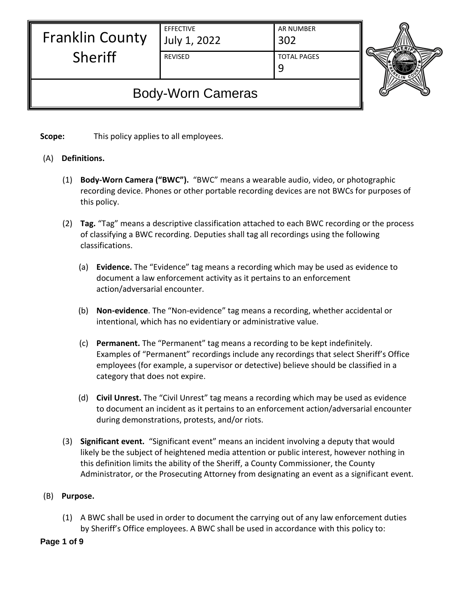| EFFECTIVE |              |
|-----------|--------------|
|           | July 1, 2022 |

## Franklin County Sheriff

AR NUMBER 302

REVISED TOTAL PAGES 9



# Body-Worn Cameras

**Scope:** This policy applies to all employees.

### (A) **Definitions.**

- (1) **Body-Worn Camera ("BWC").** "BWC" means a wearable audio, video, or photographic recording device. Phones or other portable recording devices are not BWCs for purposes of this policy.
- (2) **Tag.** "Tag" means a descriptive classification attached to each BWC recording or the process of classifying a BWC recording. Deputies shall tag all recordings using the following classifications.
	- (a) **Evidence.** The "Evidence" tag means a recording which may be used as evidence to document a law enforcement activity as it pertains to an enforcement action/adversarial encounter.
	- (b) **Non-evidence**. The "Non-evidence" tag means a recording, whether accidental or intentional, which has no evidentiary or administrative value.
	- (c) **Permanent.** The "Permanent" tag means a recording to be kept indefinitely. Examples of "Permanent" recordings include any recordings that select Sheriff's Office employees (for example, a supervisor or detective) believe should be classified in a category that does not expire.
	- (d) **Civil Unrest.** The "Civil Unrest" tag means a recording which may be used as evidence to document an incident as it pertains to an enforcement action/adversarial encounter during demonstrations, protests, and/or riots.
- (3) **Significant event.** "Significant event" means an incident involving a deputy that would likely be the subject of heightened media attention or public interest, however nothing in this definition limits the ability of the Sheriff, a County Commissioner, the County Administrator, or the Prosecuting Attorney from designating an event as a significant event.

### (B) **Purpose.**

(1) A BWC shall be used in order to document the carrying out of any law enforcement duties by Sheriff's Office employees. A BWC shall be used in accordance with this policy to:

### **Page 1 of 9**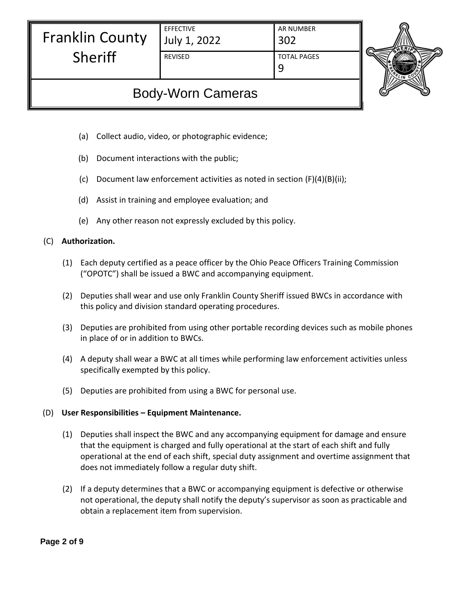| <b>Franklin County</b> |  |
|------------------------|--|
| Sheriff                |  |

EFFECTIVE July 1, 2022

Sheriff

AR NUMBER 302

REVISED TOTAL PAGES

9



# Body-Worn Cameras

- (a) Collect audio, video, or photographic evidence;
- (b) Document interactions with the public;
- (c) Document law enforcement activities as noted in section (F)(4)(B)(ii);
- (d) Assist in training and employee evaluation; and
- (e) Any other reason not expressly excluded by this policy.

### (C) **Authorization.**

- (1) Each deputy certified as a peace officer by the Ohio Peace Officers Training Commission ("OPOTC") shall be issued a BWC and accompanying equipment.
- (2) Deputies shall wear and use only Franklin County Sheriff issued BWCs in accordance with this policy and division standard operating procedures.
- (3) Deputies are prohibited from using other portable recording devices such as mobile phones in place of or in addition to BWCs.
- (4) A deputy shall wear a BWC at all times while performing law enforcement activities unless specifically exempted by this policy.
- (5) Deputies are prohibited from using a BWC for personal use.

### (D) **User Responsibilities – Equipment Maintenance.**

- (1) Deputies shall inspect the BWC and any accompanying equipment for damage and ensure that the equipment is charged and fully operational at the start of each shift and fully operational at the end of each shift, special duty assignment and overtime assignment that does not immediately follow a regular duty shift.
- (2) If a deputy determines that a BWC or accompanying equipment is defective or otherwise not operational, the deputy shall notify the deputy's supervisor as soon as practicable and obtain a replacement item from supervision.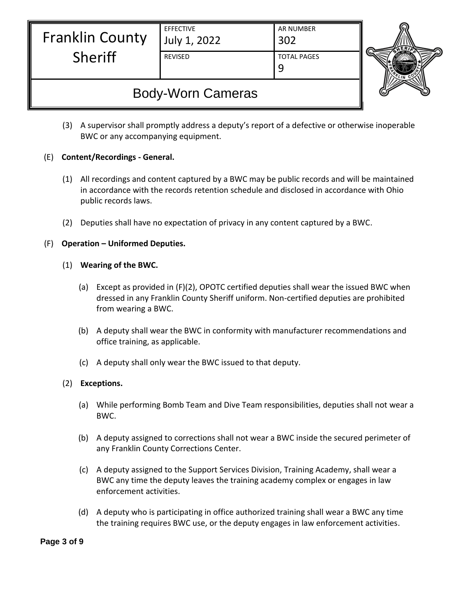| <b>Franklin County</b> | <b>EFFECTIVE</b><br>July 1, 2022 | <b>AR NUMBER</b><br>302 |  |
|------------------------|----------------------------------|-------------------------|--|
| <b>Sheriff</b>         | <b>REVISED</b>                   | <b>TOTAL PAGES</b>      |  |



- (3) A supervisor shall promptly address a deputy's report of a defective or otherwise inoperable BWC or any accompanying equipment.
- (E) **Content/Recordings - General.**
	- (1) All recordings and content captured by a BWC may be public records and will be maintained in accordance with the records retention schedule and disclosed in accordance with Ohio public records laws.
	- (2) Deputies shall have no expectation of privacy in any content captured by a BWC.
- (F) **Operation – Uniformed Deputies.**
	- (1) **Wearing of the BWC.**
		- (a) Except as provided in (F)(2), OPOTC certified deputies shall wear the issued BWC when dressed in any Franklin County Sheriff uniform. Non-certified deputies are prohibited from wearing a BWC.
		- (b) A deputy shall wear the BWC in conformity with manufacturer recommendations and office training, as applicable.
		- (c) A deputy shall only wear the BWC issued to that deputy.
	- (2) **Exceptions.**
		- (a) While performing Bomb Team and Dive Team responsibilities, deputies shall not wear a BWC.
		- (b) A deputy assigned to corrections shall not wear a BWC inside the secured perimeter of any Franklin County Corrections Center.
		- (c) A deputy assigned to the Support Services Division, Training Academy, shall wear a BWC any time the deputy leaves the training academy complex or engages in law enforcement activities.
		- (d) A deputy who is participating in office authorized training shall wear a BWC any time the training requires BWC use, or the deputy engages in law enforcement activities.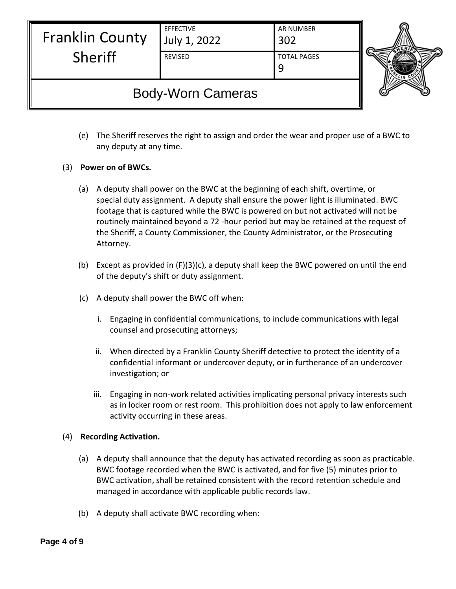| <b>Franklin County</b> | <b>EFFECTIVE</b><br>July 1, 2022 | AR NUMBER<br>302   |  |
|------------------------|----------------------------------|--------------------|--|
| Sheriff                | <b>REVISED</b>                   | <b>TOTAL PAGES</b> |  |

- (e) The Sheriff reserves the right to assign and order the wear and proper use of a BWC to any deputy at any time.
- (3) **Power on of BWCs.**
	- (a) A deputy shall power on the BWC at the beginning of each shift, overtime, or special duty assignment. A deputy shall ensure the power light is illuminated. BWC footage that is captured while the BWC is powered on but not activated will not be routinely maintained beyond a 72 -hour period but may be retained at the request of the Sheriff, a County Commissioner, the County Administrator, or the Prosecuting Attorney.
	- (b) Except as provided in (F)(3)(c), a deputy shall keep the BWC powered on until the end of the deputy's shift or duty assignment.
	- (c) A deputy shall power the BWC off when:
		- i. Engaging in confidential communications, to include communications with legal counsel and prosecuting attorneys;
		- ii. When directed by a Franklin County Sheriff detective to protect the identity of a confidential informant or undercover deputy, or in furtherance of an undercover investigation; or
		- iii. Engaging in non-work related activities implicating personal privacy interests such as in locker room or rest room. This prohibition does not apply to law enforcement activity occurring in these areas.

#### (4) **Recording Activation.**

- (a) A deputy shall announce that the deputy has activated recording as soon as practicable. BWC footage recorded when the BWC is activated, and for five (5) minutes prior to BWC activation, shall be retained consistent with the record retention schedule and managed in accordance with applicable public records law.
- (b) A deputy shall activate BWC recording when: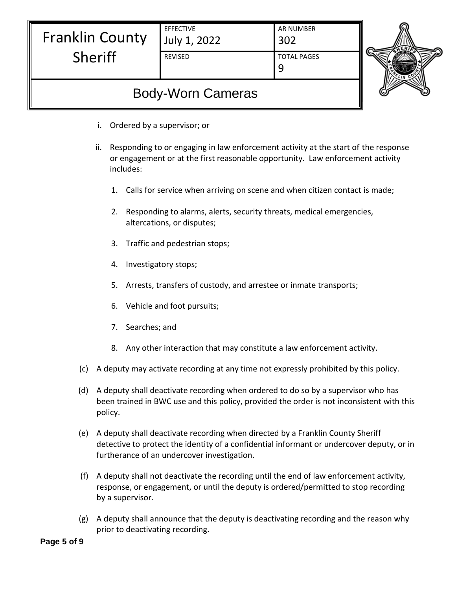| <b>Franklin County</b>                  | <b>EFFECTIVE</b><br>July 1, 2022            | <b>AR NUMBER</b><br>302                                                                                                                                                        |  |
|-----------------------------------------|---------------------------------------------|--------------------------------------------------------------------------------------------------------------------------------------------------------------------------------|--|
| Sheriff                                 | REVISED                                     | <b>TOTAL PAGES</b><br>9                                                                                                                                                        |  |
|                                         | <b>Body-Worn Cameras</b>                    |                                                                                                                                                                                |  |
| i.                                      | Ordered by a supervisor; or                 |                                                                                                                                                                                |  |
| ii.<br>includes:                        |                                             | Responding to or engaging in law enforcement activity at the start of the response<br>or engagement or at the first reasonable opportunity. Law enforcement activity           |  |
| 1.                                      |                                             | Calls for service when arriving on scene and when citizen contact is made;                                                                                                     |  |
| 2.                                      | altercations, or disputes;                  | Responding to alarms, alerts, security threats, medical emergencies,                                                                                                           |  |
| 3.                                      | Traffic and pedestrian stops;               |                                                                                                                                                                                |  |
| 4.                                      | Investigatory stops;                        |                                                                                                                                                                                |  |
| 5.                                      |                                             | Arrests, transfers of custody, and arrestee or inmate transports;                                                                                                              |  |
| 6.                                      | Vehicle and foot pursuits;                  |                                                                                                                                                                                |  |
| Searches; and<br>7.                     |                                             |                                                                                                                                                                                |  |
|                                         |                                             | 8. Any other interaction that may constitute a law enforcement activity.                                                                                                       |  |
| (c)                                     |                                             | A deputy may activate recording at any time not expressly prohibited by this policy.                                                                                           |  |
| (d)<br>policy.                          |                                             | A deputy shall deactivate recording when ordered to do so by a supervisor who has<br>been trained in BWC use and this policy, provided the order is not inconsistent with this |  |
| (e)                                     | furtherance of an undercover investigation. | A deputy shall deactivate recording when directed by a Franklin County Sheriff<br>detective to protect the identity of a confidential informant or undercover deputy, or in    |  |
| (f)<br>by a supervisor.                 |                                             | A deputy shall not deactivate the recording until the end of law enforcement activity,<br>response, or engagement, or until the deputy is ordered/permitted to stop recording  |  |
| (g)<br>prior to deactivating recording. |                                             | A deputy shall announce that the deputy is deactivating recording and the reason why                                                                                           |  |

**Page 5 of 9**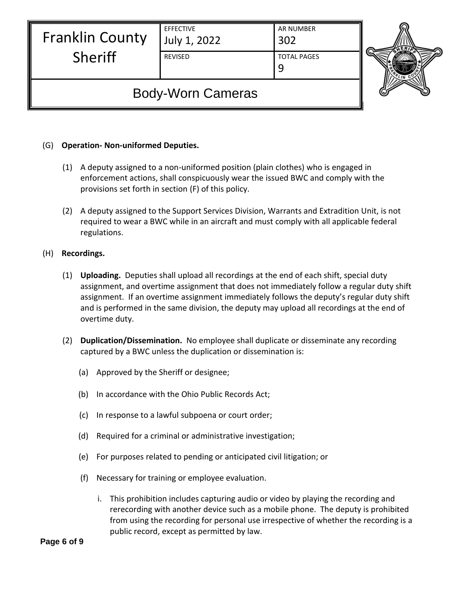| <b>Franklin County</b> | <b>EFFECTIVE</b><br>July 1, 2022 | <b>AR NUMBER</b>   |  |
|------------------------|----------------------------------|--------------------|--|
| Sheriff                | <b>REVISED</b>                   | <b>TOTAL PAGES</b> |  |

#### (G) **Operation- Non-uniformed Deputies.**

- (1) A deputy assigned to a non-uniformed position (plain clothes) who is engaged in enforcement actions, shall conspicuously wear the issued BWC and comply with the provisions set forth in section (F) of this policy.
- (2) A deputy assigned to the Support Services Division, Warrants and Extradition Unit, is not required to wear a BWC while in an aircraft and must comply with all applicable federal regulations.
- (H) **Recordings.**
	- (1) **Uploading.** Deputies shall upload all recordings at the end of each shift, special duty assignment, and overtime assignment that does not immediately follow a regular duty shift assignment. If an overtime assignment immediately follows the deputy's regular duty shift and is performed in the same division, the deputy may upload all recordings at the end of overtime duty.
	- (2) **Duplication/Dissemination.** No employee shall duplicate or disseminate any recording captured by a BWC unless the duplication or dissemination is:
		- (a) Approved by the Sheriff or designee;
		- (b) In accordance with the Ohio Public Records Act;
		- (c) In response to a lawful subpoena or court order;
		- (d) Required for a criminal or administrative investigation;
		- (e) For purposes related to pending or anticipated civil litigation; or
		- (f) Necessary for training or employee evaluation.
			- i. This prohibition includes capturing audio or video by playing the recording and rerecording with another device such as a mobile phone. The deputy is prohibited from using the recording for personal use irrespective of whether the recording is a public record, except as permitted by law.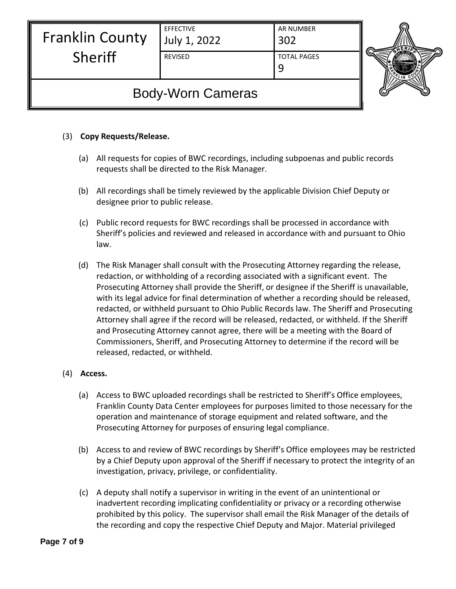| <b>Franklin County</b> | <b>EFFECTIVE</b><br>July 1, 2022 | <b>AR NUMBER</b><br>302 | ⋒ |
|------------------------|----------------------------------|-------------------------|---|
| Sheriff                | <b>REVISED</b>                   | <b>TOTAL PAGES</b>      |   |

#### (3) **Copy Requests/Release.**

- (a) All requests for copies of BWC recordings, including subpoenas and public records requests shall be directed to the Risk Manager.
- (b) All recordings shall be timely reviewed by the applicable Division Chief Deputy or designee prior to public release.
- (c) Public record requests for BWC recordings shall be processed in accordance with Sheriff's policies and reviewed and released in accordance with and pursuant to Ohio law.
- (d) The Risk Manager shall consult with the Prosecuting Attorney regarding the release, redaction, or withholding of a recording associated with a significant event. The Prosecuting Attorney shall provide the Sheriff, or designee if the Sheriff is unavailable, with its legal advice for final determination of whether a recording should be released, redacted, or withheld pursuant to Ohio Public Records law. The Sheriff and Prosecuting Attorney shall agree if the record will be released, redacted, or withheld. If the Sheriff and Prosecuting Attorney cannot agree, there will be a meeting with the Board of Commissioners, Sheriff, and Prosecuting Attorney to determine if the record will be released, redacted, or withheld.

#### (4) **Access.**

- (a) Access to BWC uploaded recordings shall be restricted to Sheriff's Office employees, Franklin County Data Center employees for purposes limited to those necessary for the operation and maintenance of storage equipment and related software, and the Prosecuting Attorney for purposes of ensuring legal compliance.
- (b) Access to and review of BWC recordings by Sheriff's Office employees may be restricted by a Chief Deputy upon approval of the Sheriff if necessary to protect the integrity of an investigation, privacy, privilege, or confidentiality.
- (c) A deputy shall notify a supervisor in writing in the event of an unintentional or inadvertent recording implicating confidentiality or privacy or a recording otherwise prohibited by this policy. The supervisor shall email the Risk Manager of the details of the recording and copy the respective Chief Deputy and Major. Material privileged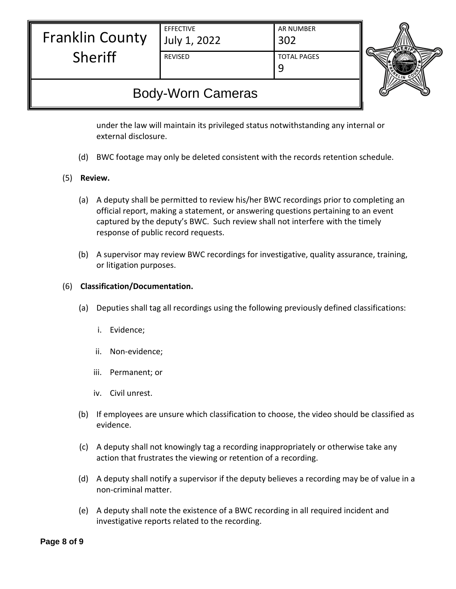| <b>Franklin County</b> |
|------------------------|
| <b>Sheriff</b>         |

July 1, 2022

EFFECTIVE

AR NUMBER 302 REVISED TOTAL PAGES

9



# Body-Worn Cameras

under the law will maintain its privileged status notwithstanding any internal or external disclosure.

- (d) BWC footage may only be deleted consistent with the records retention schedule.
- (5) **Review.**
	- (a) A deputy shall be permitted to review his/her BWC recordings prior to completing an official report, making a statement, or answering questions pertaining to an event captured by the deputy's BWC. Such review shall not interfere with the timely response of public record requests.
	- (b) A supervisor may review BWC recordings for investigative, quality assurance, training, or litigation purposes.

#### (6) **Classification/Documentation.**

- (a) Deputies shall tag all recordings using the following previously defined classifications:
	- i. Evidence;
	- ii. Non-evidence;
	- iii. Permanent; or
	- iv. Civil unrest.
- (b) If employees are unsure which classification to choose, the video should be classified as evidence.
- (c) A deputy shall not knowingly tag a recording inappropriately or otherwise take any action that frustrates the viewing or retention of a recording.
- (d) A deputy shall notify a supervisor if the deputy believes a recording may be of value in a non-criminal matter.
- (e) A deputy shall note the existence of a BWC recording in all required incident and investigative reports related to the recording.